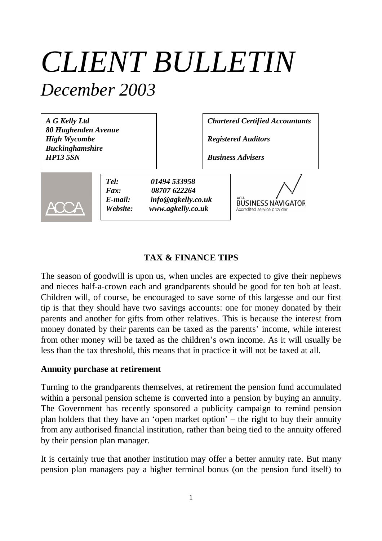# *CLIENT BULLETIN December 2003*

*A G Kelly Ltd 80 Hughenden Avenue High Wycombe Buckinghamshire HP13 5SN*

*Chartered Certified Accountants*

*Registered Auditors*

*Business Advisers*



*Tel: 01494 533958 Fax: 08707 622264 E-mail: info@agkelly.co.uk Website: www.agkelly.co.uk*

**BUSINESS NAVIGATOR** Accredited service provide

## **TAX & FINANCE TIPS**

The season of goodwill is upon us, when uncles are expected to give their nephews and nieces half-a-crown each and grandparents should be good for ten bob at least. Children will, of course, be encouraged to save some of this largesse and our first tip is that they should have two savings accounts: one for money donated by their parents and another for gifts from other relatives. This is because the interest from money donated by their parents can be taxed as the parents' income, while interest from other money will be taxed as the children's own income. As it will usually be less than the tax threshold, this means that in practice it will not be taxed at all.

#### **Annuity purchase at retirement**

Turning to the grandparents themselves, at retirement the pension fund accumulated within a personal pension scheme is converted into a pension by buying an annuity. The Government has recently sponsored a publicity campaign to remind pension plan holders that they have an 'open market option'– the right to buy their annuity from any authorised financial institution, rather than being tied to the annuity offered by their pension plan manager.

It is certainly true that another institution may offer a better annuity rate. But many pension plan managers pay a higher terminal bonus (on the pension fund itself) to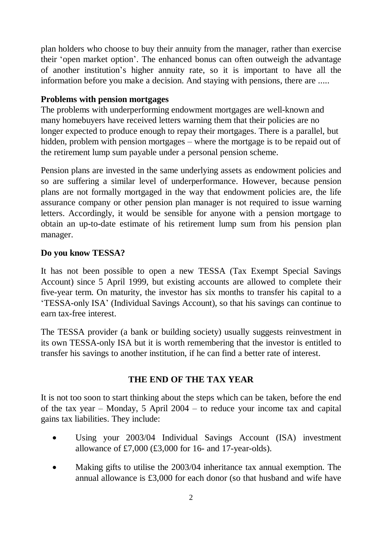plan holders who choose to buy their annuity from the manager, rather than exercise their 'open market option'. The enhanced bonus can often outweigh the advantage of another institution's higher annuity rate, so it is important to have all the information before you make a decision. And staying with pensions, there are .....

# **Problems with pension mortgages**

The problems with underperforming endowment mortgages are well-known and many homebuyers have received letters warning them that their policies are no longer expected to produce enough to repay their mortgages. There is a parallel, but hidden, problem with pension mortgages – where the mortgage is to be repaid out of the retirement lump sum payable under a personal pension scheme.

Pension plans are invested in the same underlying assets as endowment policies and so are suffering a similar level of underperformance. However, because pension plans are not formally mortgaged in the way that endowment policies are, the life assurance company or other pension plan manager is not required to issue warning letters. Accordingly, it would be sensible for anyone with a pension mortgage to obtain an up-to-date estimate of his retirement lump sum from his pension plan manager.

## **Do you know TESSA?**

It has not been possible to open a new TESSA (Tax Exempt Special Savings Account) since 5 April 1999, but existing accounts are allowed to complete their five-year term. On maturity, the investor has six months to transfer his capital to a 'TESSA-only ISA' (Individual Savings Account), so that his savings can continue to earn tax-free interest.

The TESSA provider (a bank or building society) usually suggests reinvestment in its own TESSA-only ISA but it is worth remembering that the investor is entitled to transfer his savings to another institution, if he can find a better rate of interest.

# **THE END OF THE TAX YEAR**

It is not too soon to start thinking about the steps which can be taken, before the end of the tax year – Monday, 5 April 2004 – to reduce your income tax and capital gains tax liabilities. They include:

- Using your 2003/04 Individual Savings Account (ISA) investment allowance of £7,000 (£3,000 for 16- and 17-year-olds).
- Making gifts to utilise the 2003/04 inheritance tax annual exemption. The annual allowance is £3,000 for each donor (so that husband and wife have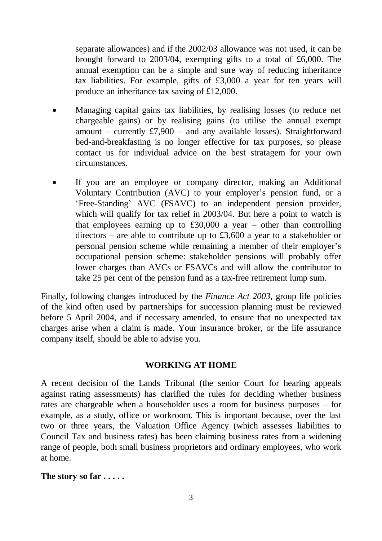separate allowances) and if the 2002/03 allowance was not used, it can be brought forward to 2003/04, exempting gifts to a total of £6,000. The annual exemption can be a simple and sure way of reducing inheritance tax liabilities. For example, gifts of £3,000 a year for ten years will produce an inheritance tax saving of £12,000.

- Managing capital gains tax liabilities, by realising losses (to reduce net chargeable gains) or by realising gains (to utilise the annual exempt amount – currently £7,900 – and any available losses). Straightforward bed-and-breakfasting is no longer effective for tax purposes, so please contact us for individual advice on the best stratagem for your own circumstances.
- If you are an employee or company director, making an Additional Voluntary Contribution (AVC) to your employer's pension fund, or a 'Free-Standing' AVC (FSAVC) to an independent pension provider, which will qualify for tax relief in 2003/04. But here a point to watch is that employees earning up to  $£30,000$  a year – other than controlling directors – are able to contribute up to £3,600 a year to a stakeholder or personal pension scheme while remaining a member of their employer's occupational pension scheme: stakeholder pensions will probably offer lower charges than AVCs or FSAVCs and will allow the contributor to take 25 per cent of the pension fund as a tax-free retirement lump sum.

Finally, following changes introduced by the *Finance Act 2003*, group life policies of the kind often used by partnerships for succession planning must be reviewed before 5 April 2004, and if necessary amended, to ensure that no unexpected tax charges arise when a claim is made. Your insurance broker, or the life assurance company itself, should be able to advise you.

#### **WORKING AT HOME**

A recent decision of the Lands Tribunal (the senior Court for hearing appeals against rating assessments) has clarified the rules for deciding whether business rates are chargeable when a householder uses a room for business purposes – for example, as a study, office or workroom. This is important because, over the last two or three years, the Valuation Office Agency (which assesses liabilities to Council Tax and business rates) has been claiming business rates from a widening range of people, both small business proprietors and ordinary employees, who work at home.

**The story so far . . . . .**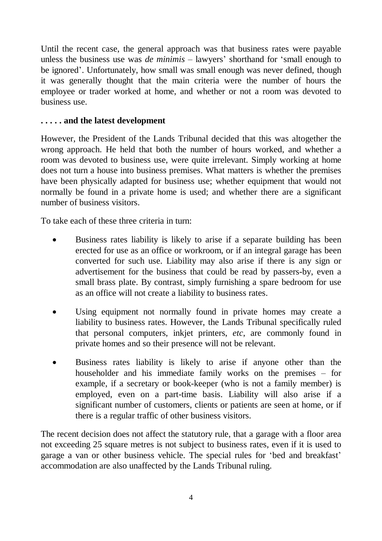Until the recent case, the general approach was that business rates were payable unless the business use was *de minimis* – lawyers' shorthand for 'small enough to be ignored'. Unfortunately, how small was small enough was never defined, though it was generally thought that the main criteria were the number of hours the employee or trader worked at home, and whether or not a room was devoted to business use.

#### **. . . . . and the latest development**

However, the President of the Lands Tribunal decided that this was altogether the wrong approach. He held that both the number of hours worked, and whether a room was devoted to business use, were quite irrelevant. Simply working at home does not turn a house into business premises. What matters is whether the premises have been physically adapted for business use; whether equipment that would not normally be found in a private home is used; and whether there are a significant number of business visitors.

To take each of these three criteria in turn:

- Business rates liability is likely to arise if a separate building has been erected for use as an office or workroom, or if an integral garage has been converted for such use. Liability may also arise if there is any sign or advertisement for the business that could be read by passers-by, even a small brass plate. By contrast, simply furnishing a spare bedroom for use as an office will not create a liability to business rates.
- Using equipment not normally found in private homes may create a liability to business rates. However, the Lands Tribunal specifically ruled that personal computers, inkjet printers, *etc*, are commonly found in private homes and so their presence will not be relevant.
- Business rates liability is likely to arise if anyone other than the householder and his immediate family works on the premises – for example, if a secretary or book-keeper (who is not a family member) is employed, even on a part-time basis. Liability will also arise if a significant number of customers, clients or patients are seen at home, or if there is a regular traffic of other business visitors.

The recent decision does not affect the statutory rule, that a garage with a floor area not exceeding 25 square metres is not subject to business rates, even if it is used to garage a van or other business vehicle. The special rules for 'bed and breakfast' accommodation are also unaffected by the Lands Tribunal ruling.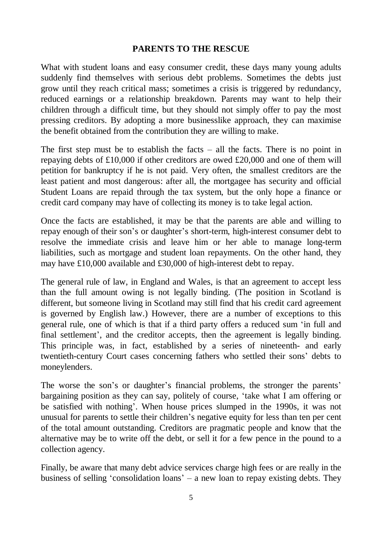#### **PARENTS TO THE RESCUE**

What with student loans and easy consumer credit, these days many young adults suddenly find themselves with serious debt problems. Sometimes the debts just grow until they reach critical mass; sometimes a crisis is triggered by redundancy, reduced earnings or a relationship breakdown. Parents may want to help their children through a difficult time, but they should not simply offer to pay the most pressing creditors. By adopting a more businesslike approach, they can maximise the benefit obtained from the contribution they are willing to make.

The first step must be to establish the facts  $-$  all the facts. There is no point in repaying debts of £10,000 if other creditors are owed £20,000 and one of them will petition for bankruptcy if he is not paid. Very often, the smallest creditors are the least patient and most dangerous: after all, the mortgagee has security and official Student Loans are repaid through the tax system, but the only hope a finance or credit card company may have of collecting its money is to take legal action.

Once the facts are established, it may be that the parents are able and willing to repay enough of their son's or daughter's short-term, high-interest consumer debt to resolve the immediate crisis and leave him or her able to manage long-term liabilities, such as mortgage and student loan repayments. On the other hand, they may have £10,000 available and £30,000 of high-interest debt to repay.

The general rule of law, in England and Wales, is that an agreement to accept less than the full amount owing is not legally binding. (The position in Scotland is different, but someone living in Scotland may still find that his credit card agreement is governed by English law.) However, there are a number of exceptions to this general rule, one of which is that if a third party offers a reduced sum 'in full and final settlement', and the creditor accepts, then the agreement is legally binding. This principle was, in fact, established by a series of nineteenth- and early twentieth-century Court cases concerning fathers who settled their sons' debts to moneylenders.

The worse the son's or daughter's financial problems, the stronger the parents' bargaining position as they can say, politely of course, 'take what I am offering or be satisfied with nothing'. When house prices slumped in the 1990s, it was not unusual for parents to settle their children's negative equity for less than ten per cent of the total amount outstanding. Creditors are pragmatic people and know that the alternative may be to write off the debt, or sell it for a few pence in the pound to a collection agency.

Finally, be aware that many debt advice services charge high fees or are really in the business of selling 'consolidation loans'– a new loan to repay existing debts. They